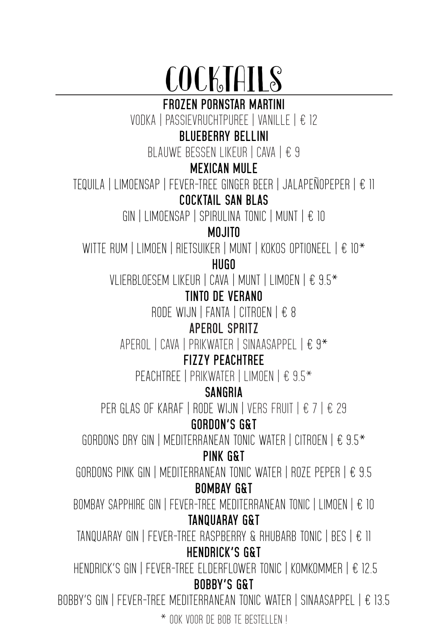# COCKTAILS

**FROZEN PORNSTAR MARTINI**

VODKA | PASSIEVRUCHTPUREE | VANILLE | € 12

### **BLUEBERRY BELLINI**

BLAUWE BESSEN LIKEUR | CAVA | € 9

#### **MEXICAN MULE**

TEQUILA | LIMOENSAP | FEVER-TREE GINGER BEER | JALAPEÑOPEPER | € 11

#### **COCKTAIL SAN BLAS**

GIN | LIMOENSAP | SPIRULINA TONIC | MUNT | € 10

#### **MOJITO**

WITTE RUM | LIMOEN | RIETSUIKER | MUNT | KOKOS OPTIONEEL | € 10\*

**HUGO** 

VLIERBLOESEM LIKEUR | CAVA | MUNT | LIMOEN | € 9.5\*

#### **TINTO DE VERANO**

RODE WIJN | FANTA | CITROEN | € 8

#### **APEROL SPRITZ**

APEROL | CAVA | PRIKWATER | SINAASAPPEL | € 9\*

#### **FIZZY PEACHTREE**

PFACHTRFE | PRIKWATER | LIMOEN | € 9.5<sup>\*</sup>

#### **SANGRIA**

PER GLAS OF KARAF | RODE WIJN | VERS FRUIT | € 7 | € 29

#### **GORDON'S G&T**

GORDONS DRY GIN | MEDITERRANEAN TONIC WATER | CITROEN |  $\text{\textsterling}$  9.5 $\text{\textsterling}$ 

#### **PINK G&T**

GORDONS PINK GIN | MEDITERRANEAN TONIC WATER | ROZE PEPER | € 9.5 **BOMBAY G&T**

BOMBAY SAPPHIRE GIN | FEVER-TREE MEDITERRANEAN TONIC | LIMOEN | € 10 **TANQUARAY G&T** 

TANQUARAY GIN | FEVER-TREE RASPBERRY & RHUBARB TONIC | BES |  $\epsilon$  ||

#### **HENDRICK'S G&T**

 HENDRICK'S GIN | FEVER-TREE ELDERFLOWER TONIC | KOMKOMMER | € 12.5 **BOBBY'S G&T**

BOBBY'S GIN | FEVER-TREE MEDITERRANEAN TONIC WATER | SINAASAPPEL | € 13.5

 $*$  nok voor de bob te bestellen !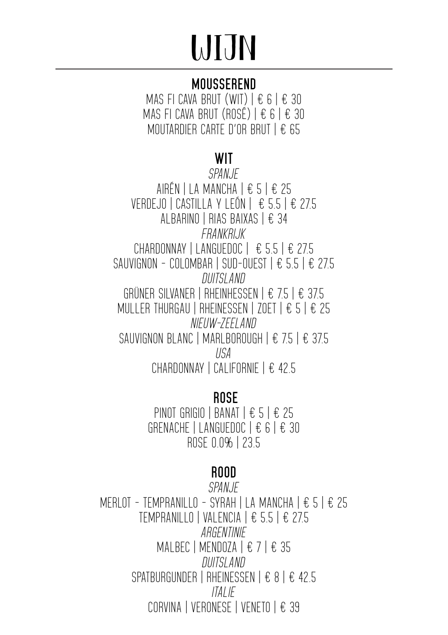# WIJN

### **MOUSSEREND**

MAS FI CAVA BRUT (WIT)  $\vert \epsilon \epsilon \vert \epsilon$  30 MAS FI CAVA BRUT (ROSÉ)  $\vert \pm 6 \vert \pm 30 \vert$ MOUTARDIER CARTE D'OR BRUT | € 65

#### **WIT**

*SPANJE* AIRÉN | LA MANCHA | € 5 | € 25 VERDEJO | CASTILLA Y LEÓN | € 5.5 | € 27.5 ALBARINO | RIAS BAIXAS | € 34 *FRANKRI.IK* CHARDONNAY | LANGUEDOC  $\left| \right.$   $\in$  5.5  $\left| \right.$   $\in$  27.5 SAUVIGNON - COLOMBAR | SUD-OUEST  $\parallel \text{\large $\epsilon$}$  5.5  $\parallel \text{\large $\epsilon$}$  27.5 *DUITSLAND* GRÜNER SILVANER | RHEINHESSEN | € 7.5 | € 37.5 MULLER THURGAU | RHEINESSEN | ZOET | € 5 | € 25 *NIEUW-ZEELAND* SAUVIGNON BLANC | MARLBOROUGH | € 7.5 | € 37.5 *USA* CHARDONNAY | CALIFORNIE | € 42.5

#### **ROSE**

PINOT GRIGIO | BANAT | € 5 | € 25 GRENACHE | LANGUEDOC | € 6 | € 30 ROSE 0.0% | 23.5

## **ROOD**

*SPANJE*  MERLOT - TEMPRANILLO - SYRAH | LA MANCHA | € 5 | € 25 TEMPRANILLO | VALENCIA | € 5.5 | € 27.5 *ARGENTINIE*  MALBEC | MENDOZA | € 7 | € 35 *DUITSLAND* SPATBURGUNDER | RHEINESSEN | € 8 | € 42.5 *ITALIE* CORVINA | VERONESE | VENETO | € 39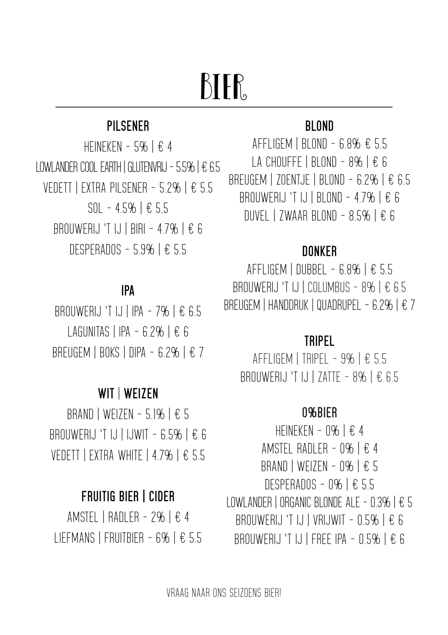## BIER<sub>s</sub>

#### **PILSENER**

HEINEKEN - 5%  $E$  4 LOWLANDER COOL FARTH | GLUTENVRIJ - 5.5% | € 6.5 VEDETT | EXTRA PILSENER - 5.2% | € 5.5 SOL - 4.5% | € 5.5 BROUWERLJ 'T LJ | BIRI - 47% | € 6 DESPERADOS - 5.9% | € 5.5

#### **IPA**

BROUWERLJ 'T IJ | IPA - 7%  $E$  6.5 LAGUNITAS | IPA - 6.2%  $E$  6 BREUGEM | BOKS | DIPA - 6.2% |  $\epsilon$  7

#### **WIT** | **WEIZEN**

BRAND | WEIZEN - 5.1%  $E$  5 BROUWERIJ 'T IJ | IJWIT - 6.5%  $E$  6 VEDETT | EXTRA WHITE | 4.7% | € 5.5

#### **FRUITIG BIER | CIDER**

AMSTEL | RADLER - 2% | € 4 LIEFMANS | FRUITBIER - 6% | € 5.5

#### **BLOND**

AFFLIGEM | BLOND - 6.8% € 5.5 LA CHOUFFE | BLOND - 8% |  $\epsilon$  6 BREUGEM | ZOENTJE | BLOND - 6.2% | € 6.5 BROUWERIJ 'T IJ | BLOND - 4.7% | € 6 DUVEL | ZWAAR BLOND -  $8.5\%$  |  $\epsilon$  6

#### **DONKER**

 $AFFLIGEM$  | DUBBEL - 6.8% | € 5.5 BROUWERIJ 'T IJ | COLUMBUS - 8% | € 6.5 BREUGEM | HANDDRUK | QUADRUPEL - 6.2% | € 7

#### **TRIPEL**

AFFLIGEM | TRIPEL - 9% |  $E$  5.5 BROUWERIJ 'T IJ | ZATTE - 8% | € 6.5

#### **0%BIER**

HEINEKEN - 0%  $\pm$  4 AMSTEL RADLER - 0% | € 4 BRAND | WEIZEN - 0% | € 5 DESPERADOS - 0% | € 5.5 LOWLANDER | ORGANIC BLONDE ALE - 0.3% | € 5 BROUWERIJ 'T IJ | VRIJWIT -  $0.5\%$  | € 6 BROUWERIJ 'T IJ | FREE IPA -  $0.5\%$  | € 6